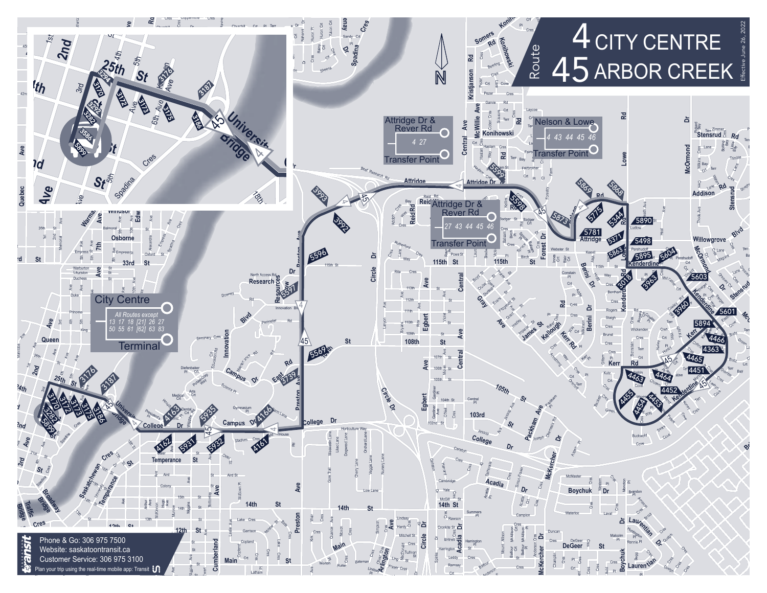